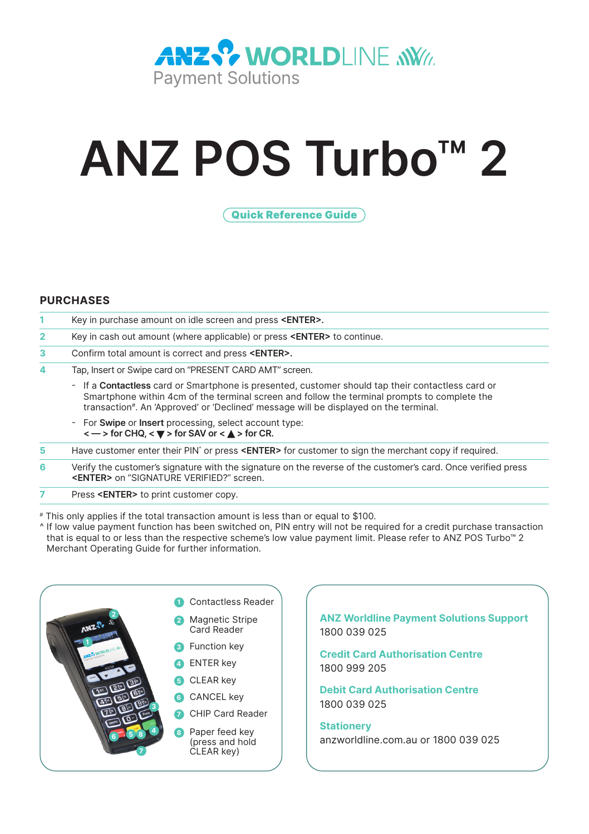

# **ANZ POS Turbo™ 2**

Quick Reference Guide

# **PURCHASES**

|    | Key in purchase amount on idle screen and press < <b>ENTER&gt;</b> .                                                                                                                                                                                                                             |
|----|--------------------------------------------------------------------------------------------------------------------------------------------------------------------------------------------------------------------------------------------------------------------------------------------------|
| 2  | Key in cash out amount (where applicable) or press < <b>ENTER&gt;</b> to continue.                                                                                                                                                                                                               |
| 3. | Confirm total amount is correct and press < <b>ENTER&gt;</b> .                                                                                                                                                                                                                                   |
| 4  | Tap, Insert or Swipe card on "PRESENT CARD AMT" screen.                                                                                                                                                                                                                                          |
|    | - If a <b>Contactless</b> card or Smartphone is presented, customer should tap their contactless card or<br>Smartphone within 4cm of the terminal screen and follow the terminal prompts to complete the<br>transaction#. An 'Approved' or 'Declined' message will be displayed on the terminal. |
|    | - For Swipe or Insert processing, select account type:<br>$\langle - \rangle$ for CHQ, $\langle \nabla \rangle$ for SAV or $\langle \Delta \rangle$ for CR.                                                                                                                                      |
| 5  | Have customer enter their PIN <sup>o</sup> or press < <b>ENTER&gt;</b> for customer to sign the merchant copy if required.                                                                                                                                                                       |
| 6  | Verify the customer's signature with the signature on the reverse of the customer's card. Once verified press<br><enter> on "SIGNATURE VERIFIED?" screen.</enter>                                                                                                                                |
|    | Press < <b>ENTER&gt;</b> to print customer copy.                                                                                                                                                                                                                                                 |

# This only applies if the total transaction amount is less than or equal to \$100.

^ If low value payment function has been switched on, PIN entry will not be required for a credit purchase transaction that is equal to or less than the respective scheme's low value payment limit. Please refer to ANZ POS Turbo™ 2 Merchant Operating Guide for further information.



**ANZ Worldline Payment Solutions Support** 1800 039 025

**Credit Card Authorisation Centre** 1800 999 205

**Debit Card Authorisation Centre** 1800 039 025

**Stationery** anzworldline.com.au or 1800 039 025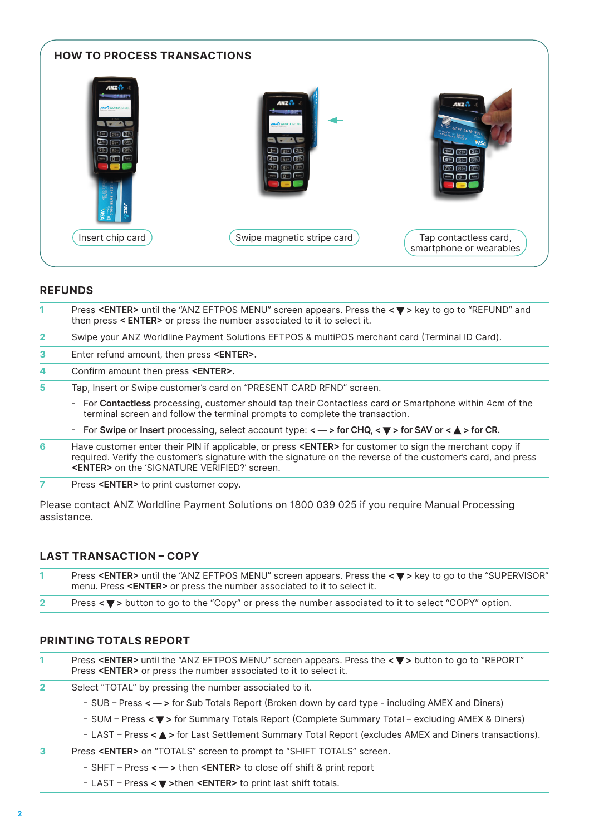

#### **REFUNDS**

| 1.           | Press <enter> until the "ANZ EFTPOS MENU" screen appears. Press the <math>\leq \mathbb{V}</math> &gt; key to go to "REFUND" and<br/>then press &lt; <b>ENTER</b>&gt; or press the number associated to it to select it.</enter> |
|--------------|---------------------------------------------------------------------------------------------------------------------------------------------------------------------------------------------------------------------------------|
| $\mathbf{2}$ | Swipe your ANZ Worldline Payment Solutions EFTPOS & multiPOS merchant card (Terminal ID Card).                                                                                                                                  |
| 3            | Enter refund amount, then press < <b>ENTER&gt;</b> .                                                                                                                                                                            |
| 4            | Confirm amount then press < <b>ENTER&gt;</b> .                                                                                                                                                                                  |
| 5            | Tap, Insert or Swipe customer's card on "PRESENT CARD RFND" screen.                                                                                                                                                             |
|              | - For Contactless processing, customer should tap their Contactless card or Smartphone within 4cm of the<br>terminal screen and follow the terminal prompts to complete the transaction.                                        |
|              | - For Swipe or Insert processing, select account type: $\lt -$ > for CHQ, $\lt \blacktriangledown$ > for SAV or $\lt \blacktriangle$ > for CR.                                                                                  |
| 6            | Have customer enter their PIN if applicable, or press <enter> for customer to sign the merchant copy if</enter>                                                                                                                 |

- required. Verify the customer's signature with the signature on the reverse of the customer's card, and press **<ENTER>** on the 'SIGNATURE VERIFIED?' screen.
- **7** Press **<ENTER>** to print customer copy.

Please contact ANZ Worldline Payment Solutions on 1800 039 025 if you require Manual Processing assistance.

# **LAST TRANSACTION – COPY**

| Press <enter> until the "ANZ EFTPOS MENU" screen appears. Press the &lt; ▼ &gt; key to go to the "SUPERVISOR"<br/>menu. Press <enter> or press the number associated to it to select it.</enter></enter> |
|----------------------------------------------------------------------------------------------------------------------------------------------------------------------------------------------------------|
| .                                                                                                                                                                                                        |

# **2** Press  $\leq \mathbf{V}$  > button to go to the "Copy" or press the number associated to it to select "COPY" option.

# **PRINTING TOTALS REPORT**

- **1** Press <**ENTER>** until the "ANZ EFTPOS MENU" screen appears. Press the <▼> button to go to "REPORT" Press **<ENTER>** or press the number associated to it to select it.
- **2** Select "TOTAL" by pressing the number associated to it.
	- SUB Press **< >** for Sub Totals Report (Broken down by card type including AMEX and Diners)
	- SUM Press **< >** for Summary Totals Report (Complete Summary Total excluding AMEX & Diners)
	- LAST Press <  $\blacktriangle$  > for Last Settlement Summary Total Report (excludes AMEX and Diners transactions).
- **3** Press **<ENTER>** on "TOTALS" screen to prompt to "SHIFT TOTALS" screen.
	- SHFT Press **< >** then **<ENTER>** to close off shift & print report
	- LAST Press **< >**then **<ENTER>** to print last shift totals.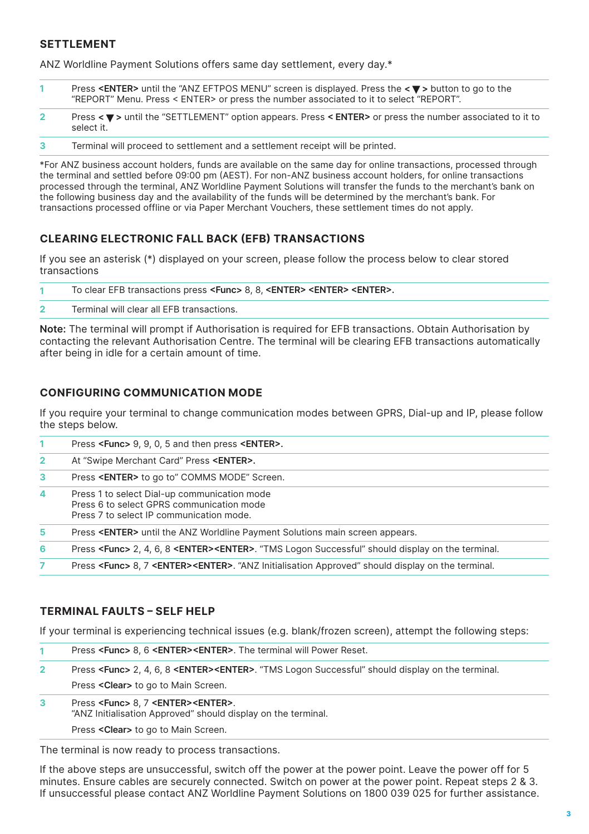# **SETTLEMENT**

ANZ Worldline Payment Solutions offers same day settlement, every day.\*

| Press <enter> until the "ANZ EFTPOS MENU" screen is displayed. Press the &lt;▼&gt; button to go to the</enter> |
|----------------------------------------------------------------------------------------------------------------|
| "REPORT" Menu. Press < ENTER> or press the number associated to it to select "REPORT".                         |

- **2** Press **< >** until the "SETTLEMENT" option appears. Press **< ENTER>** or press the number associated to it to select it.
- **3** Terminal will proceed to settlement and a settlement receipt will be printed.

\*For ANZ business account holders, funds are available on the same day for online transactions, processed through the terminal and settled before 09:00 pm (AEST). For non-ANZ business account holders, for online transactions processed through the terminal, ANZ Worldline Payment Solutions will transfer the funds to the merchant's bank on the following business day and the availability of the funds will be determined by the merchant's bank. For transactions processed offline or via Paper Merchant Vouchers, these settlement times do not apply.

# **CLEARING ELECTRONIC FALL BACK (EFB) TRANSACTIONS**

If you see an asterisk (\*) displayed on your screen, please follow the process below to clear stored transactions

| To clear EFB transactions press <func> 8, 8, <enter> <enter> <enter>.</enter></enter></enter></func> |
|------------------------------------------------------------------------------------------------------|
| Terminal will clear all EFB transactions.                                                            |

**Note:** The terminal will prompt if Authorisation is required for EFB transactions. Obtain Authorisation by contacting the relevant Authorisation Centre. The terminal will be clearing EFB transactions automatically after being in idle for a certain amount of time.

# **CONFIGURING COMMUNICATION MODE**

If you require your terminal to change communication modes between GPRS, Dial-up and IP, please follow the steps below.

|              | Press <func> 9, 9, 0, 5 and then press <enter>.</enter></func>                                                                        |
|--------------|---------------------------------------------------------------------------------------------------------------------------------------|
| $\mathbf{2}$ | At "Swipe Merchant Card" Press < <b>ENTER&gt;.</b>                                                                                    |
| з.           | Press < <b>ENTER&gt;</b> to go to" COMMS MODE" Screen.                                                                                |
| 4            | Press 1 to select Dial-up communication mode<br>Press 6 to select GPRS communication mode<br>Press 7 to select IP communication mode. |
| 5.           | Press < <b>ENTER&gt;</b> until the ANZ Worldline Payment Solutions main screen appears.                                               |
| 6            | Press <func> 2, 4, 6, 8 <enter><enter>. "TMS Logon Successful" should display on the terminal.</enter></enter></func>                 |
| 7.           | Press <func> 8, 7 <enter><enter>. "ANZ Initialisation Approved" should display on the terminal.</enter></enter></func>                |

# **TERMINAL FAULTS – SELF HELP**

If your terminal is experiencing technical issues (e.g. blank/frozen screen), attempt the following steps:

| Press <func> 8, 6 <enter><enter>. The terminal will Power Reset.</enter></enter></func> |  |  |  |  |
|-----------------------------------------------------------------------------------------|--|--|--|--|
|-----------------------------------------------------------------------------------------|--|--|--|--|

- **2** Press **<Func>** 2, 4, 6, 8 **<ENTER><ENTER>**. "TMS Logon Successful" should display on the terminal. Press **<Clear>** to go to Main Screen.
- **3** Press **<Func>** 8, 7 **<ENTER><ENTER>**. "ANZ Initialisation Approved" should display on the terminal. Press **<Clear>** to go to Main Screen.

The terminal is now ready to process transactions.

If the above steps are unsuccessful, switch off the power at the power point. Leave the power off for 5 minutes. Ensure cables are securely connected. Switch on power at the power point. Repeat steps 2 & 3. If unsuccessful please contact ANZ Worldline Payment Solutions on 1800 039 025 for further assistance.